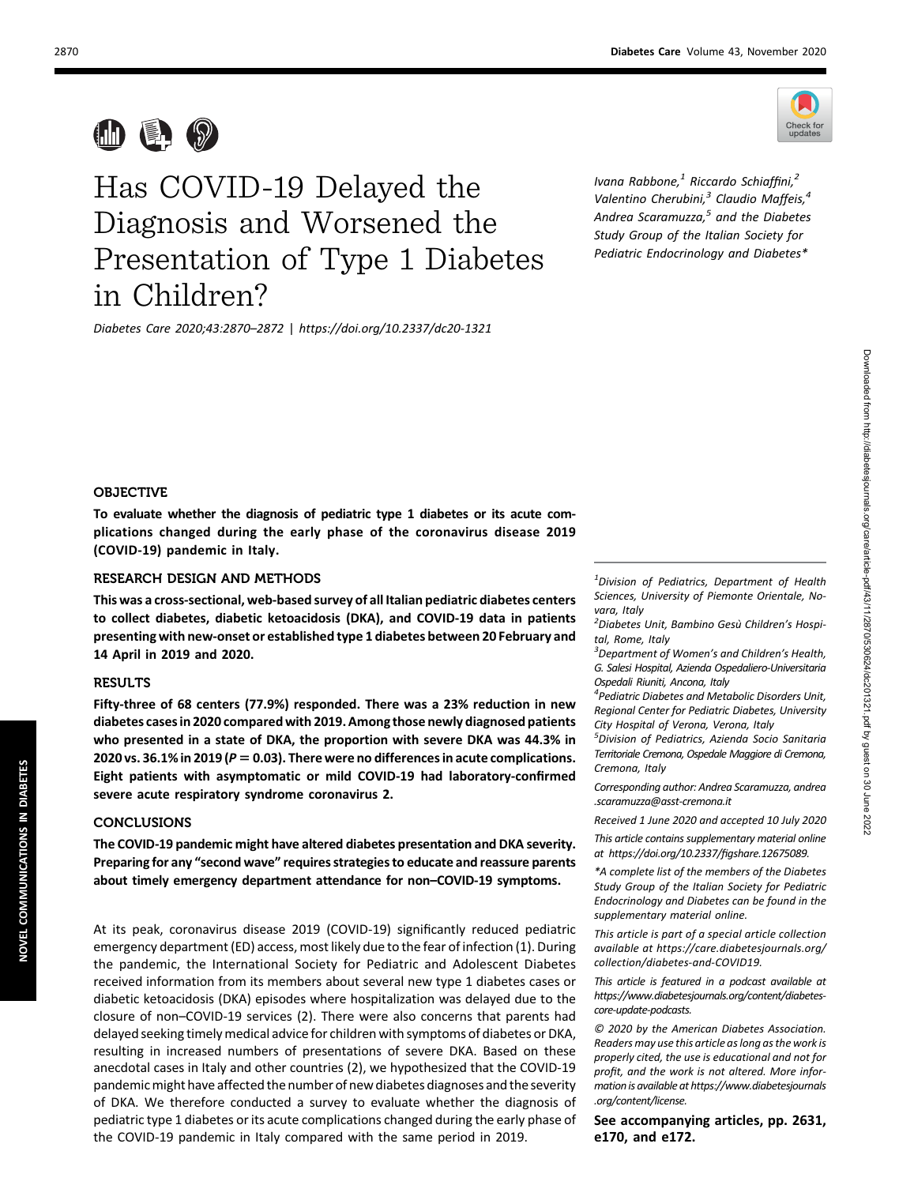

 $\blacksquare$   $\blacksquare$   $\heartsuit$ 

# Has COVID-19 Delayed the Diagnosis and Worsened the Presentation of Type 1 Diabetes in Children?

Diabetes Care 2020;43:2870–2872 | <https://doi.org/10.2337/dc20-1321>

Ivana Rabbone, $<sup>1</sup>$  Riccardo Schiaffini, $<sup>2</sup>$ </sup></sup> Valentino Cherubini, $3$  Claudio Maffeis, $4$ Andrea Scaramuzza, $5$  and the Diabetes Study Group of the Italian Society for Pediatric Endocrinology and Diabetes\*

#### OBJECTIVE

To evaluate whether the diagnosis of pediatric type 1 diabetes or its acute complications changed during the early phase of the coronavirus disease 2019 (COVID-19) pandemic in Italy.

# RESEARCH DESIGN AND METHODS

This was a cross-sectional, web-based survey of all Italian pediatric diabetes centers to collect diabetes, diabetic ketoacidosis (DKA), and COVID-19 data in patients presenting with new-onset or established type 1 diabetes between 20 February and 14 April in 2019 and 2020.

# RESULTS

Fifty-three of 68 centers (77.9%) responded. There was a 23% reduction in new diabetes cases in 2020 compared with 2019. Among those newly diagnosed patients who presented in a state of DKA, the proportion with severe DKA was 44.3% in 2020 vs. 36.1% in 2019 ( $P = 0.03$ ). There were no differences in acute complications. Eight patients with asymptomatic or mild COVID-19 had laboratory-confirmed severe acute respiratory syndrome coronavirus 2.

# **CONCLUSIONS**

The COVID-19 pandemic might have altered diabetes presentation and DKA severity. Preparing for any "second wave" requires strategies to educate and reassure parents about timely emergency department attendance for non–COVID-19 symptoms.

At its peak, coronavirus disease 2019 (COVID-19) significantly reduced pediatric emergency department (ED) access, most likely due to the fear of infection (1). During the pandemic, the International Society for Pediatric and Adolescent Diabetes received information from its members about several new type 1 diabetes cases or diabetic ketoacidosis (DKA) episodes where hospitalization was delayed due to the closure of non–COVID-19 services (2). There were also concerns that parents had delayed seeking timely medical advice for children with symptoms of diabetes or DKA, resulting in increased numbers of presentations of severe DKA. Based on these anecdotal cases in Italy and other countries (2), we hypothesized that the COVID-19 pandemic might have affected the number of new diabetes diagnoses and the severity of DKA. We therefore conducted a survey to evaluate whether the diagnosis of pediatric type 1 diabetes or its acute complications changed during the early phase of the COVID-19 pandemic in Italy compared with the same period in 2019.

<sup>1</sup>Division of Pediatrics, Department of Health Sciences, University of Piemonte Orientale, Novara, Italy

<sup>2</sup> Diabetes Unit, Bambino Gesù Children's Hospital, Rome, Italy

<sup>3</sup>Department of Women's and Children's Health, G. Salesi Hospital, Azienda Ospedaliero-Universitaria Ospedali Riuniti, Ancona, Italy

4 Pediatric Diabetes and Metabolic Disorders Unit, Regional Center for Pediatric Diabetes, University City Hospital of Verona, Verona, Italy

5 Division of Pediatrics, Azienda Socio Sanitaria Territoriale Cremona, Ospedale Maggiore di Cremona, Cremona, Italy

Corresponding author: Andrea Scaramuzza, [andrea](mailto:andrea.scaramuzza@asst-cremona.it) [.scaramuzza@asst-cremona.it](mailto:andrea.scaramuzza@asst-cremona.it)

Received 1 June 2020 and accepted 10 July 2020

This article contains supplementary material online at [https://doi.org/10.2337/](https://doi.org/10.2337/figshare.12675089)figshare.12675089.

\*A complete list of the members of the Diabetes Study Group of the Italian Society for Pediatric Endocrinology and Diabetes can be found in the supplementary material online.

This article is part of a special article collection available at [https://care.diabetesjournals.org/](https://care.diabetesjournals.org/collection/diabetes-and-COVID19) [collection/diabetes-and-COVID19.](https://care.diabetesjournals.org/collection/diabetes-and-COVID19)

This article is featured in a podcast available at [https://www.diabetesjournals.org/content/diabetes](https://www.diabetesjournals.org/content/ diabetes-core-update-podcasts)[core-update-podcasts](https://www.diabetesjournals.org/content/ diabetes-core-update-podcasts).

© 2020 by the American Diabetes Association. Readers may use this article as long as the work is properly cited, the use is educational and not for profit, and the work is not altered. More information is available at [https://www.diabetesjournals](https://www.diabetesjournals.org/content/license) [.org/content/license](https://www.diabetesjournals.org/content/license).

See accompanying articles, pp. 2631, e170, and e172.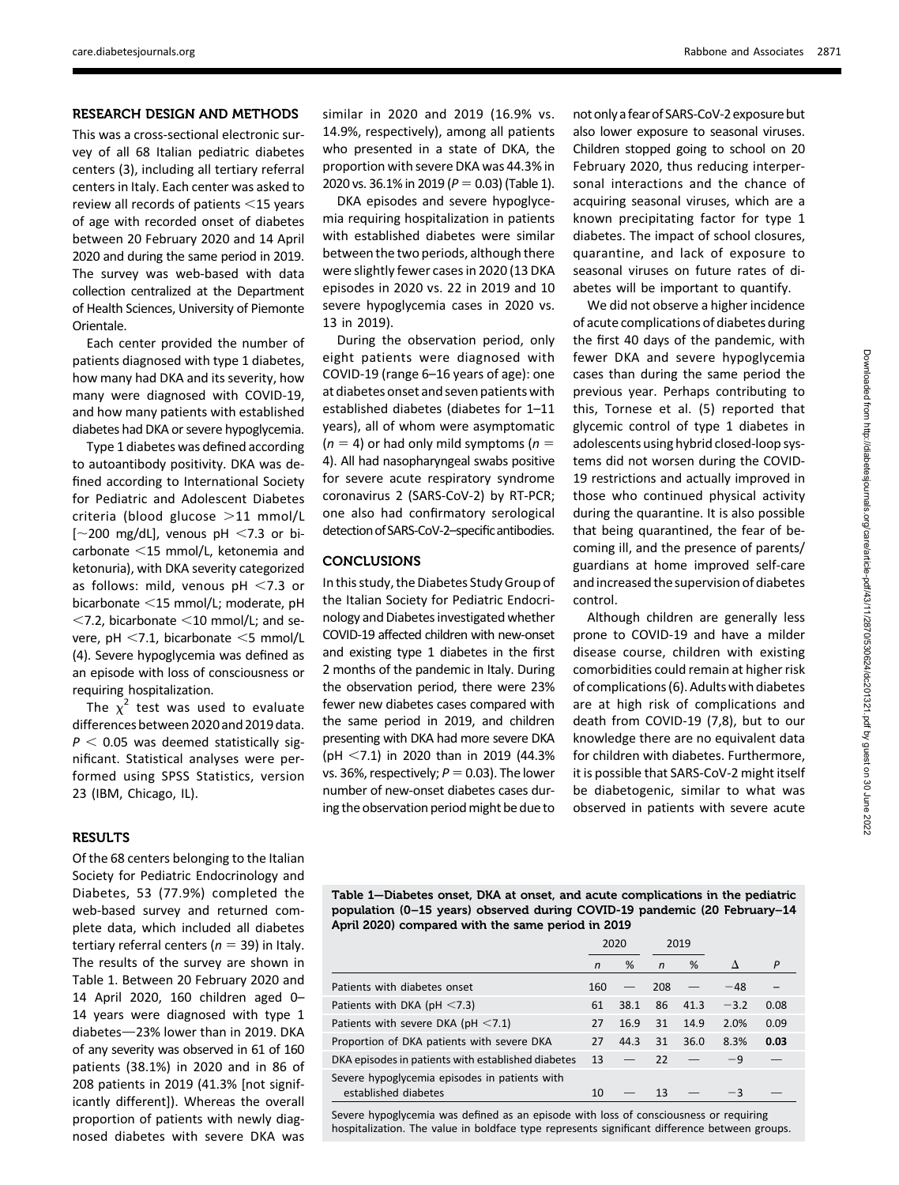## RESEARCH DESIGN AND METHODS

This was a cross-sectional electronic survey of all 68 Italian pediatric diabetes centers (3), including all tertiary referral centers in Italy. Each center was asked to review all records of patients  $<$ 15 years of age with recorded onset of diabetes between 20 February 2020 and 14 April 2020 and during the same period in 2019. The survey was web-based with data collection centralized at the Department of Health Sciences, University of Piemonte Orientale.

Each center provided the number of patients diagnosed with type 1 diabetes, how many had DKA and its severity, how many were diagnosed with COVID-19, and how many patients with established diabetes had DKA or severe hypoglycemia.

Type 1 diabetes was defined according to autoantibody positivity. DKA was defined according to International Society for Pediatric and Adolescent Diabetes criteria (blood glucose  $>11$  mmol/L  $\sim$  200 mg/dL], venous pH <7.3 or bicarbonate  $<$ 15 mmol/L, ketonemia and ketonuria), with DKA severity categorized as follows: mild, venous  $pH < 7.3$  or bicarbonate  $<$ 15 mmol/L; moderate, pH  $<$ 7.2, bicarbonate  $<$ 10 mmol/L; and severe, pH  $<$ 7.1, bicarbonate  $<$ 5 mmol/L (4). Severe hypoglycemia was defined as an episode with loss of consciousness or requiring hospitalization.

The  $\chi^2$  test was used to evaluate differences between 2020 and 2019 data.  $P < 0.05$  was deemed statistically significant. Statistical analyses were performed using SPSS Statistics, version 23 (IBM, Chicago, IL).

#### **RESULTS**

Of the 68 centers belonging to the Italian Society for Pediatric Endocrinology and Diabetes, 53 (77.9%) completed the web-based survey and returned complete data, which included all diabetes tertiary referral centers ( $n = 39$ ) in Italy. The results of the survey are shown in Table 1. Between 20 February 2020 and 14 April 2020, 160 children aged 0– 14 years were diagnosed with type 1 diabetes-23% lower than in 2019. DKA of any severity was observed in 61 of 160 patients (38.1%) in 2020 and in 86 of 208 patients in 2019 (41.3% [not significantly different]). Whereas the overall proportion of patients with newly diagnosed diabetes with severe DKA was

similar in 2020 and 2019 (16.9% vs. 14.9%, respectively), among all patients who presented in a state of DKA, the proportion with severe DKA was 44.3% in 2020 vs. 36.1% in 2019 ( $P = 0.03$ ) (Table 1).

DKA episodes and severe hypoglycemia requiring hospitalization in patients with established diabetes were similar between the two periods, although there were slightly fewer cases in 2020 (13 DKA episodes in 2020 vs. 22 in 2019 and 10 severe hypoglycemia cases in 2020 vs. 13 in 2019).

During the observation period, only eight patients were diagnosed with COVID-19 (range 6–16 years of age): one at diabetes onset and seven patients with established diabetes (diabetes for 1–11 years), all of whom were asymptomatic  $(n = 4)$  or had only mild symptoms ( $n =$ 4). All had nasopharyngeal swabs positive for severe acute respiratory syndrome coronavirus 2 (SARS-CoV-2) by RT-PCR; one also had confirmatory serological detection of SARS-CoV-2-specific antibodies.

# **CONCLUSIONS**

In this study, the Diabetes Study Group of the Italian Society for Pediatric Endocrinology and Diabetes investigated whether COVID-19 affected children with new-onset and existing type 1 diabetes in the first 2 months of the pandemic in Italy. During the observation period, there were 23% fewer new diabetes cases compared with the same period in 2019, and children presenting with DKA had more severe DKA (pH  $<$ 7.1) in 2020 than in 2019 (44.3%) vs. 36%, respectively;  $P = 0.03$ ). The lower number of new-onset diabetes cases during the observation period might be due to not onlya fear of SARS-CoV-2exposure but also lower exposure to seasonal viruses. Children stopped going to school on 20 February 2020, thus reducing interpersonal interactions and the chance of acquiring seasonal viruses, which are a known precipitating factor for type 1 diabetes. The impact of school closures, quarantine, and lack of exposure to seasonal viruses on future rates of diabetes will be important to quantify.

We did not observe a higher incidence of acute complications of diabetes during the first 40 days of the pandemic, with fewer DKA and severe hypoglycemia cases than during the same period the previous year. Perhaps contributing to this, Tornese et al. (5) reported that glycemic control of type 1 diabetes in adolescents using hybrid closed-loop systems did not worsen during the COVID-19 restrictions and actually improved in those who continued physical activity during the quarantine. It is also possible that being quarantined, the fear of becoming ill, and the presence of parents/ guardians at home improved self-care and increased the supervision of diabetes control.

Although children are generally less prone to COVID-19 and have a milder disease course, children with existing comorbidities could remain at higher risk of complications (6). Adults with diabetes are at high risk of complications and death from COVID-19 (7,8), but to our knowledge there are no equivalent data for children with diabetes. Furthermore, it is possible that SARS-CoV-2 might itself be diabetogenic, similar to what was observed in patients with severe acute

Table 1—Diabetes onset, DKA at onset, and acute complications in the pediatric population (0–15 years) observed during COVID-19 pandemic (20 February–14 April 2020) compared with the same period in 2019

|                                                                       | 2020 |      | 2019         |      |           |      |
|-----------------------------------------------------------------------|------|------|--------------|------|-----------|------|
|                                                                       | n    | %    | $\mathsf{n}$ | %    | $\Lambda$ | P    |
| Patients with diabetes onset                                          | 160  |      | 208          |      | $-48$     |      |
| Patients with DKA ( $pH < 7.3$ )                                      | 61   | 38.1 | 86           | 41.3 | $-3.2$    | 0.08 |
| Patients with severe DKA ( $pH < 7.1$ )                               | 27   | 16.9 | 31           | 14.9 | 2.0%      | 0.09 |
| Proportion of DKA patients with severe DKA                            | 27   | 44.3 | 31           | 36.0 | 8.3%      | 0.03 |
| DKA episodes in patients with established diabetes                    | 13   |      | 22           |      | $-9$      |      |
| Severe hypoglycemia episodes in patients with<br>established diabetes | 10   |      | 13           |      | $-3$      |      |

Severe hypoglycemia was defined as an episode with loss of consciousness or requiring hospitalization. The value in boldface type represents significant difference between groups.